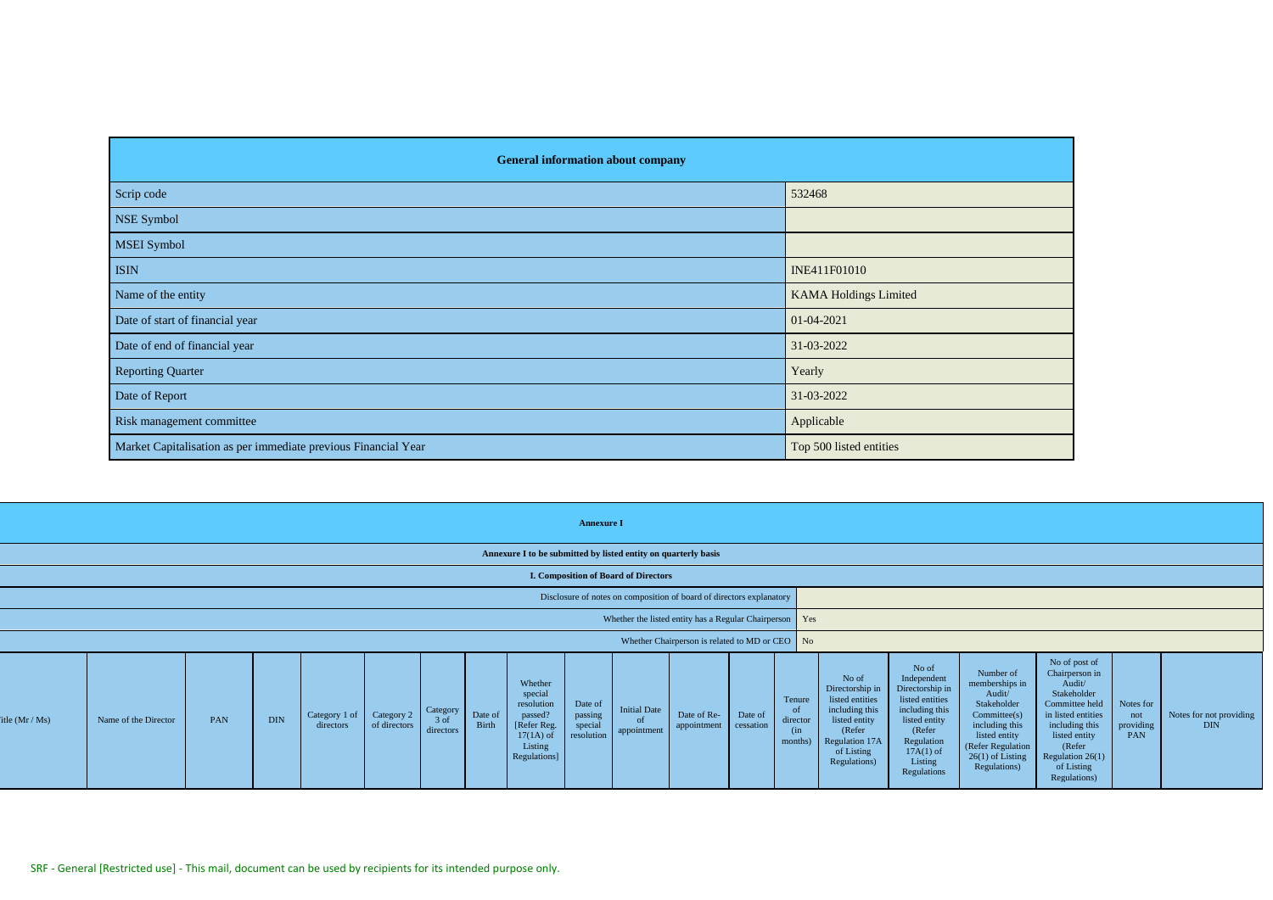| <b>General information about company</b>                       |                              |
|----------------------------------------------------------------|------------------------------|
| Scrip code                                                     | 532468                       |
| NSE Symbol                                                     |                              |
| <b>MSEI</b> Symbol                                             |                              |
| <b>ISIN</b>                                                    | INE411F01010                 |
| Name of the entity                                             | <b>KAMA Holdings Limited</b> |
| Date of start of financial year                                | 01-04-2021                   |
| Date of end of financial year                                  | 31-03-2022                   |
| <b>Reporting Quarter</b>                                       | Yearly                       |
| Date of Report                                                 | 31-03-2022                   |
| Risk management committee                                      | Applicable                   |
| Market Capitalisation as per immediate previous Financial Year | Top 500 listed entities      |

|                |                      |     |            |                                       |              |                                 |                  |                                                                                                       | <b>Annexure I</b>                           |                                                                |                                                                      |                      |                                            |                                                                                                                                          |                                                                                                                                                                |                                                                                                                                                                   |                                                                                                                                                                                                   |                                      |                                       |
|----------------|----------------------|-----|------------|---------------------------------------|--------------|---------------------------------|------------------|-------------------------------------------------------------------------------------------------------|---------------------------------------------|----------------------------------------------------------------|----------------------------------------------------------------------|----------------------|--------------------------------------------|------------------------------------------------------------------------------------------------------------------------------------------|----------------------------------------------------------------------------------------------------------------------------------------------------------------|-------------------------------------------------------------------------------------------------------------------------------------------------------------------|---------------------------------------------------------------------------------------------------------------------------------------------------------------------------------------------------|--------------------------------------|---------------------------------------|
|                |                      |     |            |                                       |              |                                 |                  |                                                                                                       |                                             | Annexure I to be submitted by listed entity on quarterly basis |                                                                      |                      |                                            |                                                                                                                                          |                                                                                                                                                                |                                                                                                                                                                   |                                                                                                                                                                                                   |                                      |                                       |
|                |                      |     |            |                                       |              |                                 |                  |                                                                                                       |                                             | I. Composition of Board of Directors                           |                                                                      |                      |                                            |                                                                                                                                          |                                                                                                                                                                |                                                                                                                                                                   |                                                                                                                                                                                                   |                                      |                                       |
|                |                      |     |            |                                       |              |                                 |                  |                                                                                                       |                                             |                                                                | Disclosure of notes on composition of board of directors explanatory |                      |                                            |                                                                                                                                          |                                                                                                                                                                |                                                                                                                                                                   |                                                                                                                                                                                                   |                                      |                                       |
|                |                      |     |            |                                       |              |                                 |                  |                                                                                                       |                                             |                                                                | Whether the listed entity has a Regular Chairperson Yes              |                      |                                            |                                                                                                                                          |                                                                                                                                                                |                                                                                                                                                                   |                                                                                                                                                                                                   |                                      |                                       |
|                |                      |     |            |                                       |              |                                 |                  |                                                                                                       |                                             |                                                                | Whether Chairperson is related to MD or CEO No                       |                      |                                            |                                                                                                                                          |                                                                                                                                                                |                                                                                                                                                                   |                                                                                                                                                                                                   |                                      |                                       |
| itle $(Mr/Ms)$ | Name of the Director | PAN | <b>DIN</b> | Category 1 of Category 2<br>directors | of directors | Category<br>$3$ of<br>directors | Date of<br>Birth | Whether<br>special<br>resolution<br>passed?<br>[Refer Reg.]<br>$17(1A)$ of<br>Listing<br>Regulations] | Date of<br>passing<br>special<br>resolution | <b>Initial Date</b><br>of<br>appointment                       | Date of Re-<br>appointment                                           | Date of<br>cessation | Tenure<br>of<br>director<br>(in<br>months) | No of<br>Directorship in<br>listed entities<br>including this<br>listed entity<br>(Refer<br>Regulation 17A<br>of Listing<br>Regulations) | No of<br>Independent<br>Directorship in<br>listed entities<br>including this<br>listed entity<br>(Refer<br>Regulation<br>$17A(1)$ of<br>Listing<br>Regulations | Number of<br>memberships in<br>Audit/<br>Stakeholder<br>Commitee(s)<br>including this<br>listed entity<br>(Refer Regulation<br>$26(1)$ of Listing<br>Regulations) | No of post of<br>Chairperson in<br>Audit/<br>Stakeholder<br>Committee held<br>in listed entities<br>including this<br>listed entity<br>(Refer<br>Regulation $26(1)$<br>of Listing<br>Regulations) | Notes for<br>not<br>providing<br>PAN | Notes for not providing<br><b>DIN</b> |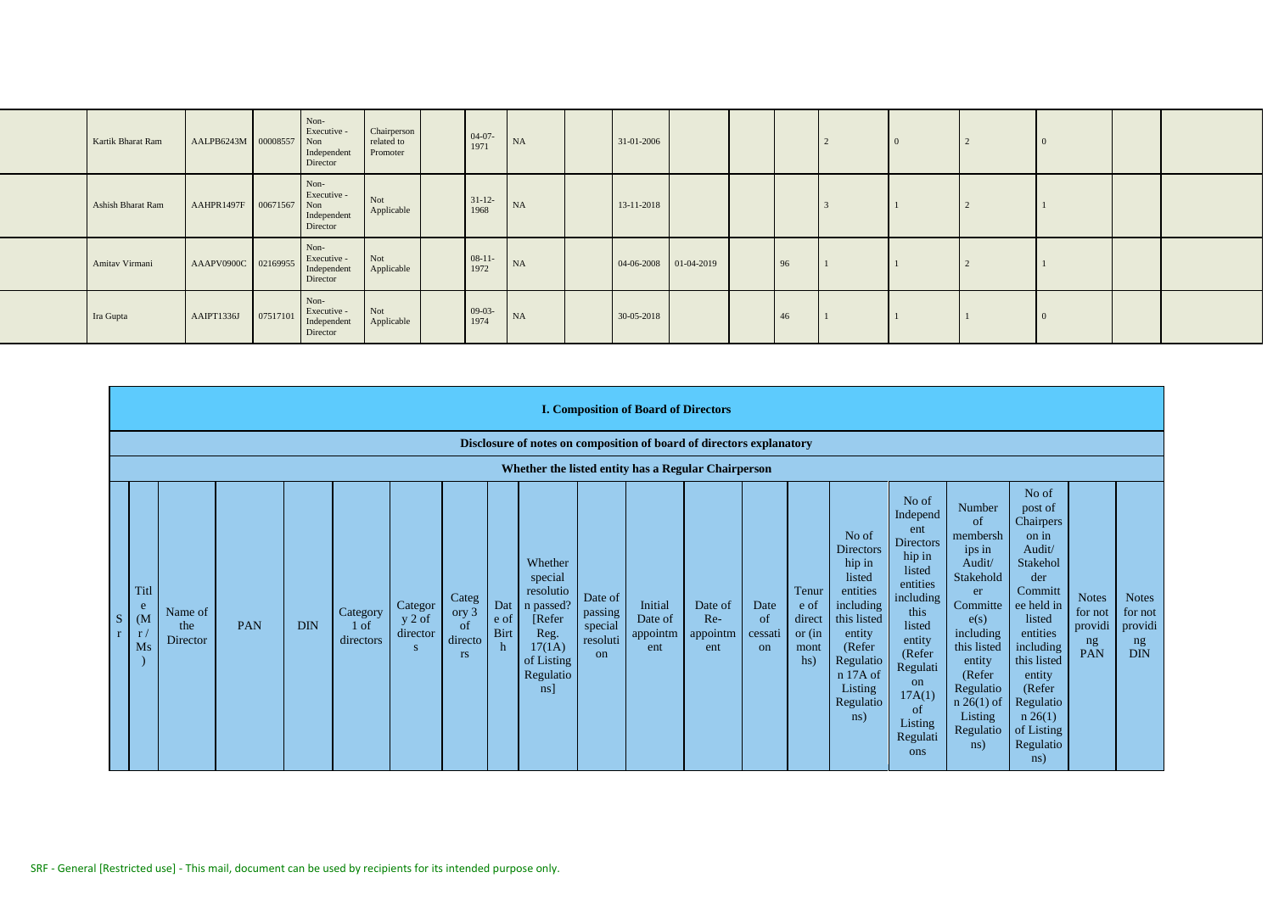| Kartik Bharat Ram | AALPB6243M 00008557 |              | Non-<br>Executive -<br>Non<br>Independent<br>Director | Chairperson<br>related to<br>Promoter | $04-07-1971$     | NA | 31-01-2006            |  |                |  | -0 |  |
|-------------------|---------------------|--------------|-------------------------------------------------------|---------------------------------------|------------------|----|-----------------------|--|----------------|--|----|--|
| Ashish Bharat Ram | AAHPR1497F          | 00671567 Non | Non-<br>Executive -<br>Independent<br>Director        | Not<br>Applicable                     | $31-12-$<br>1968 | NA | 13-11-2018            |  |                |  |    |  |
| Amitav Virmani    | AAAPV0900C 02169955 |              | Non-<br>Executive -<br>Independent<br>Director        | Not<br>Applicable                     | $08-11-1972$     | NA | 04-06-2008 01-04-2019 |  | $\frac{1}{96}$ |  |    |  |
| Ira Gupta         | AAIPT1336J          | 07517101     | Non-<br>Executive -<br>Independent<br>Director        | Not<br>Applicable                     | $09-03-1974$     | NA | 30-05-2018            |  | 46             |  | -0 |  |

|   | <b>I. Composition of Board of Directors</b>                          |                            |     |            |                                          |                                      |                                              |                          |                                                                                                                       |                                                 |                                       |                                   |                             |                                                    |                                                                                                                                                                             |                                                                                                                                                                                                            |                                                                                                                                                                                                 |                                                                                                                                                                                                                                   |                                                 |                                                        |
|---|----------------------------------------------------------------------|----------------------------|-----|------------|------------------------------------------|--------------------------------------|----------------------------------------------|--------------------------|-----------------------------------------------------------------------------------------------------------------------|-------------------------------------------------|---------------------------------------|-----------------------------------|-----------------------------|----------------------------------------------------|-----------------------------------------------------------------------------------------------------------------------------------------------------------------------------|------------------------------------------------------------------------------------------------------------------------------------------------------------------------------------------------------------|-------------------------------------------------------------------------------------------------------------------------------------------------------------------------------------------------|-----------------------------------------------------------------------------------------------------------------------------------------------------------------------------------------------------------------------------------|-------------------------------------------------|--------------------------------------------------------|
|   | Disclosure of notes on composition of board of directors explanatory |                            |     |            |                                          |                                      |                                              |                          |                                                                                                                       |                                                 |                                       |                                   |                             |                                                    |                                                                                                                                                                             |                                                                                                                                                                                                            |                                                                                                                                                                                                 |                                                                                                                                                                                                                                   |                                                 |                                                        |
|   | Whether the listed entity has a Regular Chairperson                  |                            |     |            |                                          |                                      |                                              |                          |                                                                                                                       |                                                 |                                       |                                   |                             |                                                    |                                                                                                                                                                             |                                                                                                                                                                                                            |                                                                                                                                                                                                 |                                                                                                                                                                                                                                   |                                                 |                                                        |
| S | Titl<br>e<br>(M <sup>2</sup> )<br>r/<br>Ms                           | Name of<br>the<br>Director | PAN | <b>DIN</b> | Category<br>1 <sub>of</sub><br>directors | Categor<br>$y 2$ of<br>director<br>S | Categ<br>ory 3<br>of<br>directo<br><b>rs</b> | Dat<br>e of<br>Birt<br>h | Whether<br>special<br>resolutio<br>n passed?<br>[Refer]<br>Reg.<br>17(1A)<br>of Listing<br>Regulatio<br>$\lfloor$ ns] | Date of<br>passing<br>special<br>resoluti<br>on | Initial<br>Date of<br>appointm<br>ent | Date of<br>Re-<br>appointm<br>ent | Date<br>of<br>cessati<br>on | Tenur<br>e of<br>direct<br>$or$ (in<br>mont<br>hs) | No of<br><b>Directors</b><br>hip in<br>listed<br>entities<br>including<br>this listed<br>entity<br>(Refer<br>Regulatio<br>n 17A of<br>Listing<br>Regulatio<br>$\text{ns}$ ) | No of<br>Independ<br>ent<br><b>Directors</b><br>hip in<br>listed<br>entities<br>including<br>this<br>listed<br>entity<br>(Refer<br>Regulati<br><sub>on</sub><br>17A(1)<br>of<br>Listing<br>Regulati<br>ons | Number<br>of<br>membersh<br>ips in<br>Audit/<br>Stakehold<br>er<br>Committe<br>e(s)<br>including<br>this listed<br>entity<br>(Refer<br>Regulatio<br>$n 26(1)$ of<br>Listing<br>Regulatio<br>ns) | No of<br>post of<br>Chairpers<br>on in<br>Audit/<br>Stakehol<br>der<br>Committ<br>ee held in<br>listed<br>entities<br>including<br>this listed<br>entity<br>(Refer<br>Regulatio<br>$n \; 26(1)$<br>of Listing<br>Regulatio<br>ns) | <b>Notes</b><br>for not<br>providi<br>ng<br>PAN | <b>Notes</b><br>for not<br>providi<br>ng<br><b>DIN</b> |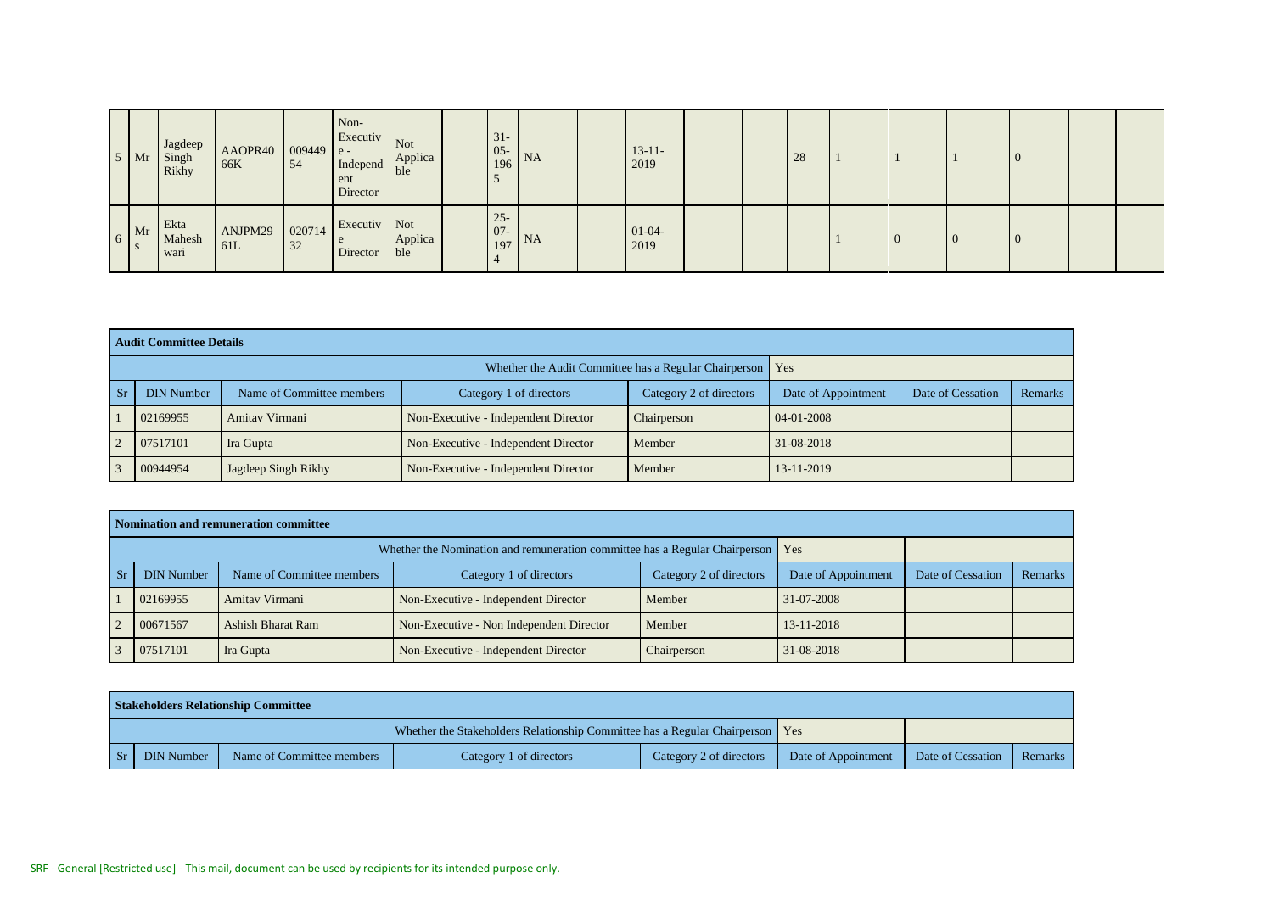| $5 \,$ Mr                            | Jagdeep<br>Singh<br>Rikhy | AAOPR40<br>66K | $ 009449 e-$<br>54 | Non-<br>Executiv Not<br>Independ Applica<br>ent<br>Director | ble            | $31 -$<br>$\begin{array}{ c c }\n 05 & NA \\ \hline\n 196 & NA\n \end{array}$ |           | $13 - 11 -$<br>2019 |  | 28 |  |    |  |  |
|--------------------------------------|---------------------------|----------------|--------------------|-------------------------------------------------------------|----------------|-------------------------------------------------------------------------------|-----------|---------------------|--|----|--|----|--|--|
| $6$ Mr<br>$\overline{\phantom{a}}$ s | Ekta<br>Mahesh<br>wari    | ANJPM29<br>61L | 020714<br>32       | Executiv Not<br>e<br>Director                               | Applica<br>ble | $25 -$<br>$\vert 07 - \vert$<br>197                                           | <b>NA</b> | $01-04-$<br>2019    |  |    |  | -0 |  |  |

|    | <b>Audit Committee Details</b> |                           |                                                       |                         |                     |                   |         |
|----|--------------------------------|---------------------------|-------------------------------------------------------|-------------------------|---------------------|-------------------|---------|
|    |                                |                           | Whether the Audit Committee has a Regular Chairperson |                         | Yes                 |                   |         |
| Sr | <b>DIN Number</b>              | Name of Committee members | Category 1 of directors                               | Category 2 of directors | Date of Appointment | Date of Cessation | Remarks |
|    | 02169955                       | Amitav Virmani            | Non-Executive - Independent Director                  | Chairperson             | 04-01-2008          |                   |         |
|    | 07517101                       | Ira Gupta                 | Non-Executive - Independent Director                  | Member                  | 31-08-2018          |                   |         |
|    | 00944954                       | Jagdeep Singh Rikhy       | Non-Executive - Independent Director                  | Member                  | 13-11-2019          |                   |         |

|     | Nomination and remuneration committee                                                                                                                       |                |                                      |             |            |  |  |  |  |  |  |  |  |  |
|-----|-------------------------------------------------------------------------------------------------------------------------------------------------------------|----------------|--------------------------------------|-------------|------------|--|--|--|--|--|--|--|--|--|
|     | Whether the Nomination and remuneration committee has a Regular Chairperson   Yes                                                                           |                |                                      |             |            |  |  |  |  |  |  |  |  |  |
| -Sr | Name of Committee members<br>Category 2 of directors<br>Category 1 of directors<br>Date of Cessation<br>Remarks<br><b>DIN Number</b><br>Date of Appointment |                |                                      |             |            |  |  |  |  |  |  |  |  |  |
|     | 02169955                                                                                                                                                    | Amitav Virmani | Non-Executive - Independent Director | Member      | 31-07-2008 |  |  |  |  |  |  |  |  |  |
|     | 00671567<br>Non-Executive - Non Independent Director<br>13-11-2018<br>Ashish Bharat Ram<br>Member                                                           |                |                                      |             |            |  |  |  |  |  |  |  |  |  |
| 3   | 07517101                                                                                                                                                    | Ira Gupta      | Non-Executive - Independent Director | Chairperson | 31-08-2018 |  |  |  |  |  |  |  |  |  |

|    |            | <b>Stakeholders Relationship Committee</b> |                                                                                 |                         |                     |                   |         |
|----|------------|--------------------------------------------|---------------------------------------------------------------------------------|-------------------------|---------------------|-------------------|---------|
|    |            |                                            | Whether the Stakeholders Relationship Committee has a Regular Chairperson   Yes |                         |                     |                   |         |
| Sr | DIN Number | Name of Committee members                  | Category 1 of directors                                                         | Category 2 of directors | Date of Appointment | Date of Cessation | Remarks |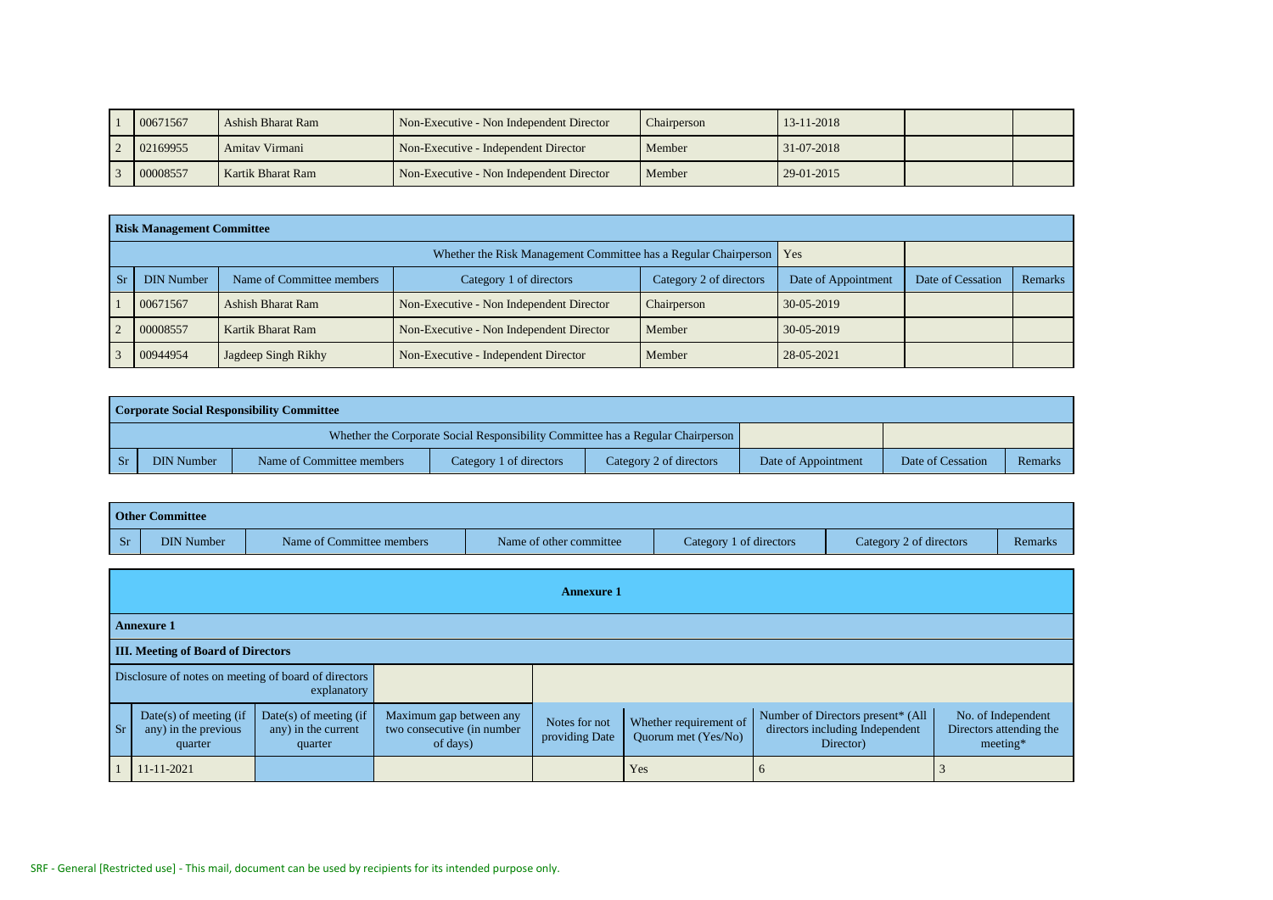| 00671567 | Ashish Bharat Ram | Non-Executive - Non Independent Director | Chairperson | 13-11-2018 |  |
|----------|-------------------|------------------------------------------|-------------|------------|--|
| 02169955 | Amitav Virmani    | Non-Executive - Independent Director     | Member      | 31-07-2018 |  |
| 00008557 | Kartik Bharat Ram | Non-Executive - Non Independent Director | Member      | 29-01-2015 |  |

|               | <b>Risk Management Committee</b> |                           |                                                                       |                         |                     |                   |         |
|---------------|----------------------------------|---------------------------|-----------------------------------------------------------------------|-------------------------|---------------------|-------------------|---------|
|               |                                  |                           | Whether the Risk Management Committee has a Regular Chairperson   Yes |                         |                     |                   |         |
| -Sr           | <b>DIN Number</b>                | Name of Committee members | Category 1 of directors                                               | Category 2 of directors | Date of Appointment | Date of Cessation | Remarks |
|               | 00671567                         | Ashish Bharat Ram         | Non-Executive - Non Independent Director                              | Chairperson             | 30-05-2019          |                   |         |
| $\mathcal{D}$ | 00008557                         | Kartik Bharat Ram         | Non-Executive - Non Independent Director                              | Member                  | 30-05-2019          |                   |         |
|               | 00944954                         | Jagdeep Singh Rikhy       | Non-Executive - Independent Director                                  | Member                  | 28-05-2021          |                   |         |

|    |            | Corporate Social Responsibility Committee |                         |                                                                                 |                     |                   |         |
|----|------------|-------------------------------------------|-------------------------|---------------------------------------------------------------------------------|---------------------|-------------------|---------|
|    |            |                                           |                         | Whether the Corporate Social Responsibility Committee has a Regular Chairperson |                     |                   |         |
| Sr | DIN Number | Name of Committee members                 | Category 1 of directors | Category 2 of directors                                                         | Date of Appointment | Date of Cessation | Remarks |

|            | <b>Other Committee</b>                                      |                                                            |                                                                   |                                 |                                               |                                                                                   |                                                           |  |  |  |  |  |  |  |
|------------|-------------------------------------------------------------|------------------------------------------------------------|-------------------------------------------------------------------|---------------------------------|-----------------------------------------------|-----------------------------------------------------------------------------------|-----------------------------------------------------------|--|--|--|--|--|--|--|
| <b>Sr</b>  | <b>DIN Number</b>                                           | Name of Committee members                                  |                                                                   | Name of other committee         | Category 1 of directors                       | Category 2 of directors                                                           | Remarks                                                   |  |  |  |  |  |  |  |
|            |                                                             |                                                            |                                                                   |                                 |                                               |                                                                                   |                                                           |  |  |  |  |  |  |  |
|            |                                                             |                                                            |                                                                   | <b>Annexure 1</b>               |                                               |                                                                                   |                                                           |  |  |  |  |  |  |  |
|            | <b>Annexure 1</b>                                           |                                                            |                                                                   |                                 |                                               |                                                                                   |                                                           |  |  |  |  |  |  |  |
|            | <b>III.</b> Meeting of Board of Directors                   |                                                            |                                                                   |                                 |                                               |                                                                                   |                                                           |  |  |  |  |  |  |  |
|            | Disclosure of notes on meeting of board of directors        | explanatory                                                |                                                                   |                                 |                                               |                                                                                   |                                                           |  |  |  |  |  |  |  |
| Sr         | $Date(s)$ of meeting (if<br>any) in the previous<br>quarter | $Date(s)$ of meeting (if<br>any) in the current<br>quarter | Maximum gap between any<br>two consecutive (in number<br>of days) | Notes for not<br>providing Date | Whether requirement of<br>Quorum met (Yes/No) | Number of Directors present* (All<br>directors including Independent<br>Director) | No. of Independent<br>Directors attending the<br>meeting* |  |  |  |  |  |  |  |
| 11-11-2021 |                                                             |                                                            |                                                                   | Yes                             | $\sigma$                                      |                                                                                   |                                                           |  |  |  |  |  |  |  |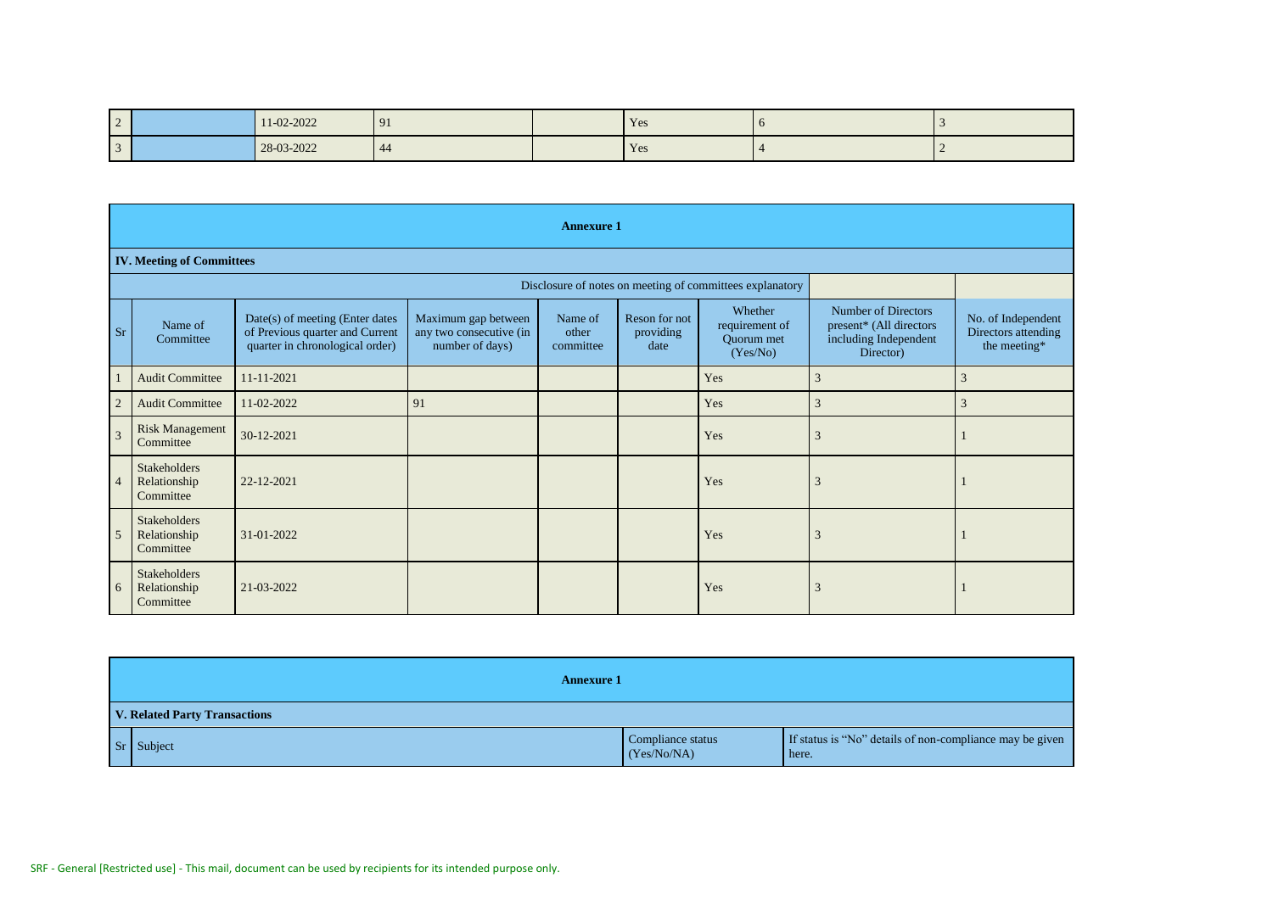| $\sqrt{2}$     | 11-02-2022 | 91   | Yes | - 0 |  |
|----------------|------------|------|-----|-----|--|
| $\overline{3}$ | 28-03-2022 | - 44 | Yes |     |  |

|                | <b>Annexure 1</b>                                |                                                                                                       |                                                                   |                               |                                    |                                                          |                                                                                      |                                                           |
|----------------|--------------------------------------------------|-------------------------------------------------------------------------------------------------------|-------------------------------------------------------------------|-------------------------------|------------------------------------|----------------------------------------------------------|--------------------------------------------------------------------------------------|-----------------------------------------------------------|
|                | <b>IV. Meeting of Committees</b>                 |                                                                                                       |                                                                   |                               |                                    |                                                          |                                                                                      |                                                           |
|                |                                                  |                                                                                                       |                                                                   |                               |                                    | Disclosure of notes on meeting of committees explanatory |                                                                                      |                                                           |
| Sr             | Name of<br>Committee                             | Date(s) of meeting (Enter dates<br>of Previous quarter and Current<br>quarter in chronological order) | Maximum gap between<br>any two consecutive (in<br>number of days) | Name of<br>other<br>committee | Reson for not<br>providing<br>date | Whether<br>requirement of<br>Quorum met<br>(Yes/No)      | Number of Directors<br>present* (All directors<br>including Independent<br>Director) | No. of Independent<br>Directors attending<br>the meeting* |
|                | <b>Audit Committee</b>                           | 11-11-2021                                                                                            |                                                                   |                               |                                    | Yes                                                      | 3                                                                                    | 3                                                         |
| $\overline{2}$ | <b>Audit Committee</b>                           | 11-02-2022                                                                                            | 91                                                                |                               |                                    | Yes                                                      | 3                                                                                    | 3                                                         |
|                | <b>Risk Management</b><br>Committee              | 30-12-2021                                                                                            |                                                                   |                               |                                    | Yes                                                      | 3                                                                                    |                                                           |
| $\overline{4}$ | <b>Stakeholders</b><br>Relationship<br>Committee | 22-12-2021                                                                                            |                                                                   |                               |                                    | Yes                                                      | 3                                                                                    |                                                           |
| 5              | <b>Stakeholders</b><br>Relationship<br>Committee | 31-01-2022                                                                                            |                                                                   |                               |                                    | Yes                                                      | Α                                                                                    |                                                           |
|                | <b>Stakeholders</b><br>Relationship<br>Committee | 21-03-2022                                                                                            |                                                                   |                               |                                    | Yes                                                      |                                                                                      |                                                           |

| <b>Annexure 1</b>             |                                  |                                                                   |  |  |
|-------------------------------|----------------------------------|-------------------------------------------------------------------|--|--|
| V. Related Party Transactions |                                  |                                                                   |  |  |
| $Sr$ Subject                  | Compliance status<br>(Yes/No/NA) | If status is "No" details of non-compliance may be given<br>here. |  |  |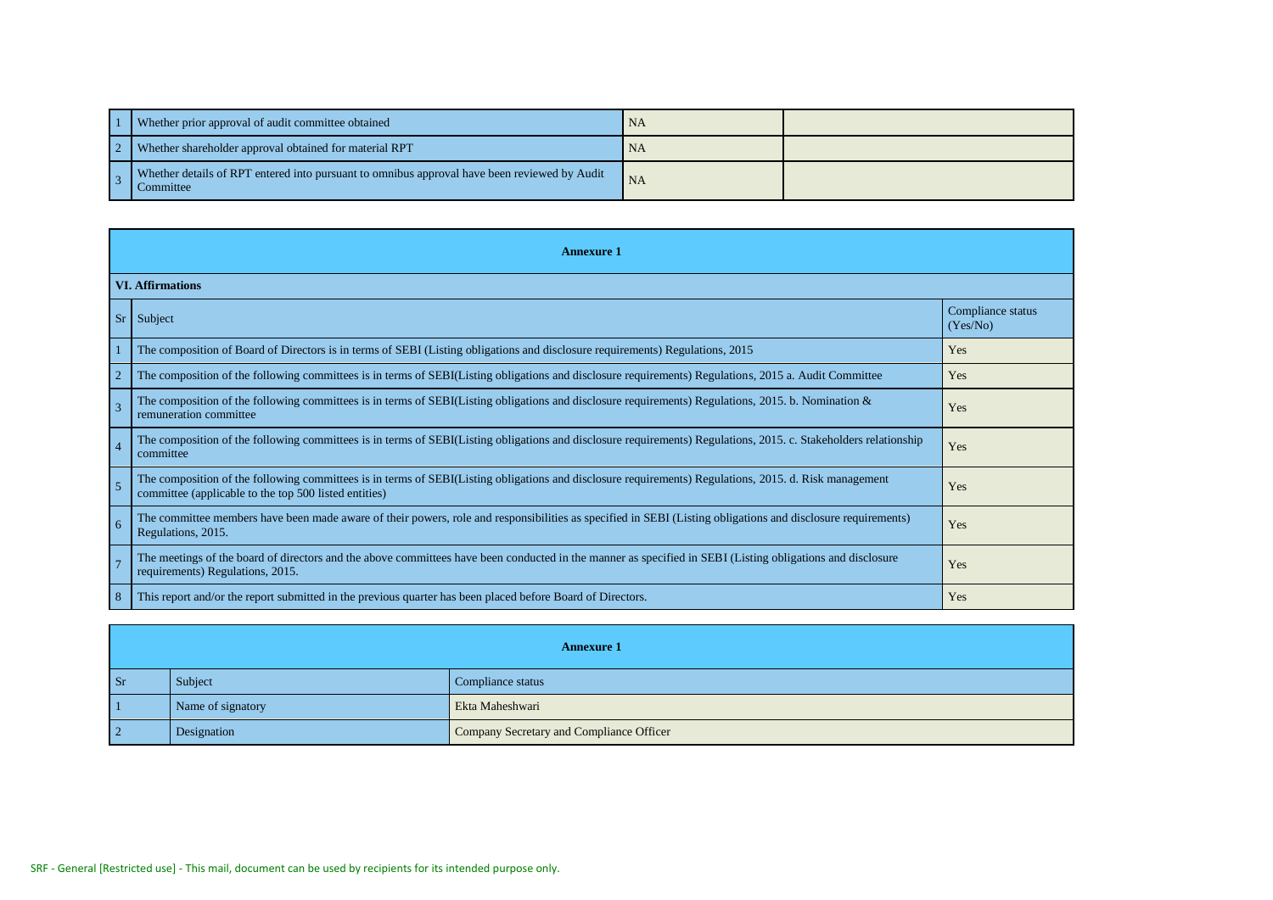|  | Whether prior approval of audit committee obtained                                                        | NA        |  |
|--|-----------------------------------------------------------------------------------------------------------|-----------|--|
|  | Whether shareholder approval obtained for material RPT                                                    | <b>NA</b> |  |
|  | Whether details of RPT entered into pursuant to omnibus approval have been reviewed by Audit<br>Committee | <b>NA</b> |  |

|                 | <b>Annexure 1</b>                                                                                                                                                                                               |                               |  |  |  |
|-----------------|-----------------------------------------------------------------------------------------------------------------------------------------------------------------------------------------------------------------|-------------------------------|--|--|--|
|                 | <b>VI. Affirmations</b>                                                                                                                                                                                         |                               |  |  |  |
| Sr <sup>2</sup> | Subject                                                                                                                                                                                                         | Compliance status<br>(Yes/No) |  |  |  |
|                 | The composition of Board of Directors is in terms of SEBI (Listing obligations and disclosure requirements) Regulations, 2015                                                                                   | Yes                           |  |  |  |
|                 | The composition of the following committees is in terms of SEBI(Listing obligations and disclosure requirements) Regulations, 2015 a. Audit Committee                                                           | Yes                           |  |  |  |
|                 | The composition of the following committees is in terms of SEBI(Listing obligations and disclosure requirements) Regulations, 2015. b. Nomination $\&$<br>remuneration committee                                | Yes                           |  |  |  |
|                 | The composition of the following committees is in terms of SEBI(Listing obligations and disclosure requirements) Regulations, 2015. c. Stakeholders relationship<br>committee                                   | Yes                           |  |  |  |
|                 | The composition of the following committees is in terms of SEBI(Listing obligations and disclosure requirements) Regulations, 2015. d. Risk management<br>committee (applicable to the top 500 listed entities) | Yes                           |  |  |  |
| 6               | The committee members have been made aware of their powers, role and responsibilities as specified in SEBI (Listing obligations and disclosure requirements)<br>Regulations, 2015.                              | Yes                           |  |  |  |
|                 | The meetings of the board of directors and the above committees have been conducted in the manner as specified in SEBI (Listing obligations and disclosure<br>requirements) Regulations, 2015.                  | Yes                           |  |  |  |
| -8              | This report and/or the report submitted in the previous quarter has been placed before Board of Directors.                                                                                                      | Yes                           |  |  |  |

|           | <b>Annexure 1</b> |                                          |  |  |  |
|-----------|-------------------|------------------------------------------|--|--|--|
| Sr        | Subject           | Compliance status                        |  |  |  |
|           | Name of signatory | Ekta Maheshwari                          |  |  |  |
| $\vert$ 2 | Designation       | Company Secretary and Compliance Officer |  |  |  |

 $\sim$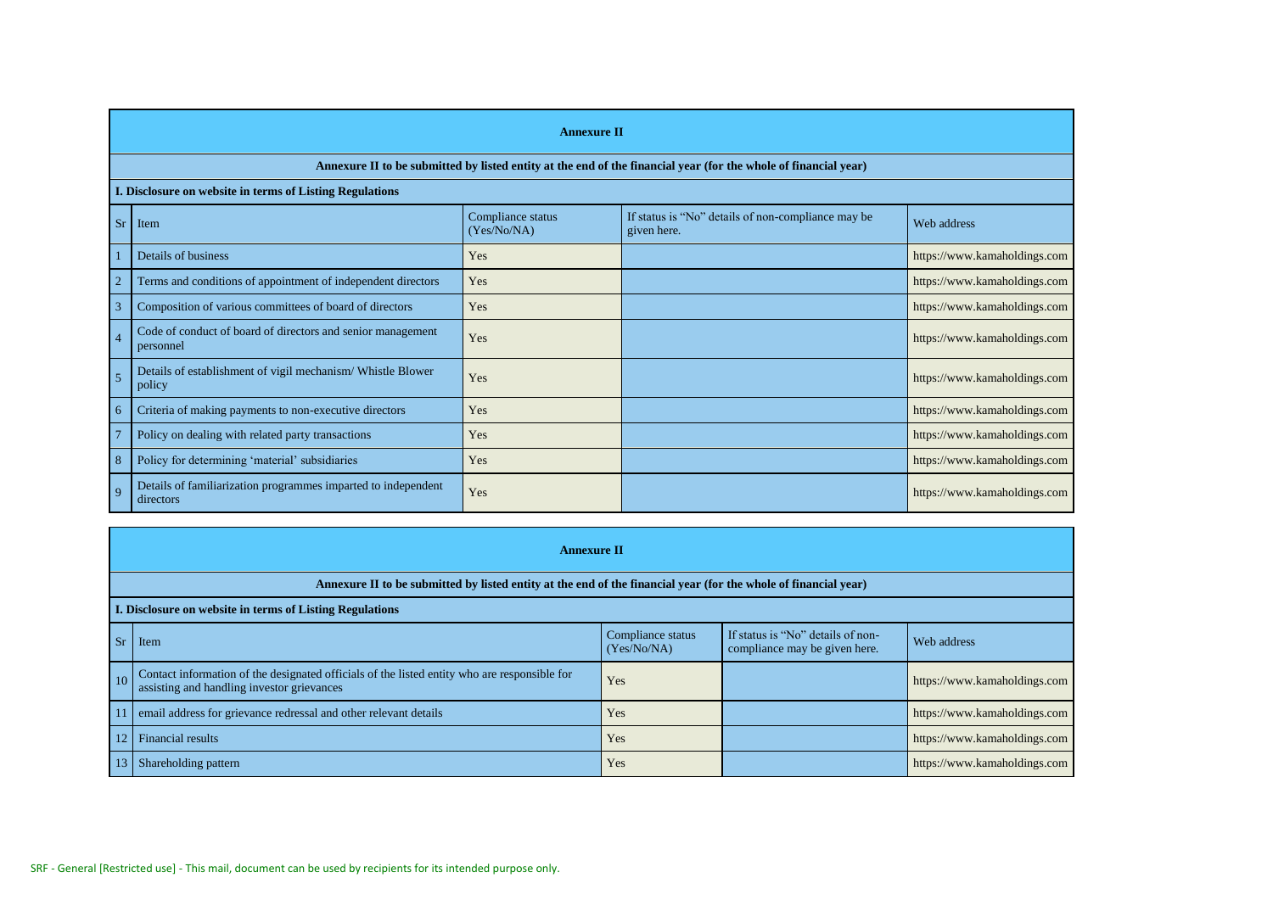## **Annexure II**

## **Annexure II to be submitted by listed entity at the end of the financial year (for the whole of financial year)**

## **I. Disclosure on website in terms of Listing Regulations**

| Sr              | Item                                                                       | Compliance status<br>(Yes/No/NA) | If status is "No" details of non-compliance may be<br>given here. | Web address                  |
|-----------------|----------------------------------------------------------------------------|----------------------------------|-------------------------------------------------------------------|------------------------------|
|                 | Details of business                                                        | Yes                              |                                                                   | https://www.kamaholdings.com |
|                 | Terms and conditions of appointment of independent directors               | Yes                              |                                                                   | https://www.kamaholdings.com |
|                 | Composition of various committees of board of directors                    | Yes                              |                                                                   | https://www.kamaholdings.com |
| $\vert$ 4       | Code of conduct of board of directors and senior management<br>personnel   | Yes                              |                                                                   | https://www.kamaholdings.com |
| $5\overline{5}$ | Details of establishment of vigil mechanism/Whistle Blower<br>policy       | Yes                              |                                                                   | https://www.kamaholdings.com |
| -6              | Criteria of making payments to non-executive directors                     | Yes                              |                                                                   | https://www.kamaholdings.com |
|                 | Policy on dealing with related party transactions                          | Yes                              |                                                                   | https://www.kamaholdings.com |
| -8              | Policy for determining 'material' subsidiaries                             | Yes                              |                                                                   | https://www.kamaholdings.com |
| $\overline{q}$  | Details of familiarization programmes imparted to independent<br>directors | Yes                              |                                                                   | https://www.kamaholdings.com |

|                 | <b>Annexure II</b>                                                                                                                         |                                  |                                                                    |                              |  |  |
|-----------------|--------------------------------------------------------------------------------------------------------------------------------------------|----------------------------------|--------------------------------------------------------------------|------------------------------|--|--|
|                 | Annexure II to be submitted by listed entity at the end of the financial year (for the whole of financial year)                            |                                  |                                                                    |                              |  |  |
|                 | I. Disclosure on website in terms of Listing Regulations                                                                                   |                                  |                                                                    |                              |  |  |
| Sr              | Item                                                                                                                                       | Compliance status<br>(Yes/No/NA) | If status is "No" details of non-<br>compliance may be given here. | Web address                  |  |  |
| $\sqrt{10}$     | Contact information of the designated officials of the listed entity who are responsible for<br>assisting and handling investor grievances | Yes                              |                                                                    | https://www.kamaholdings.com |  |  |
|                 | email address for grievance redressal and other relevant details                                                                           | Yes                              |                                                                    | https://www.kamaholdings.com |  |  |
| 12 <sup>1</sup> | <b>Financial results</b>                                                                                                                   | Yes                              |                                                                    | https://www.kamaholdings.com |  |  |
|                 | Shareholding pattern                                                                                                                       | Yes                              |                                                                    | https://www.kamaholdings.com |  |  |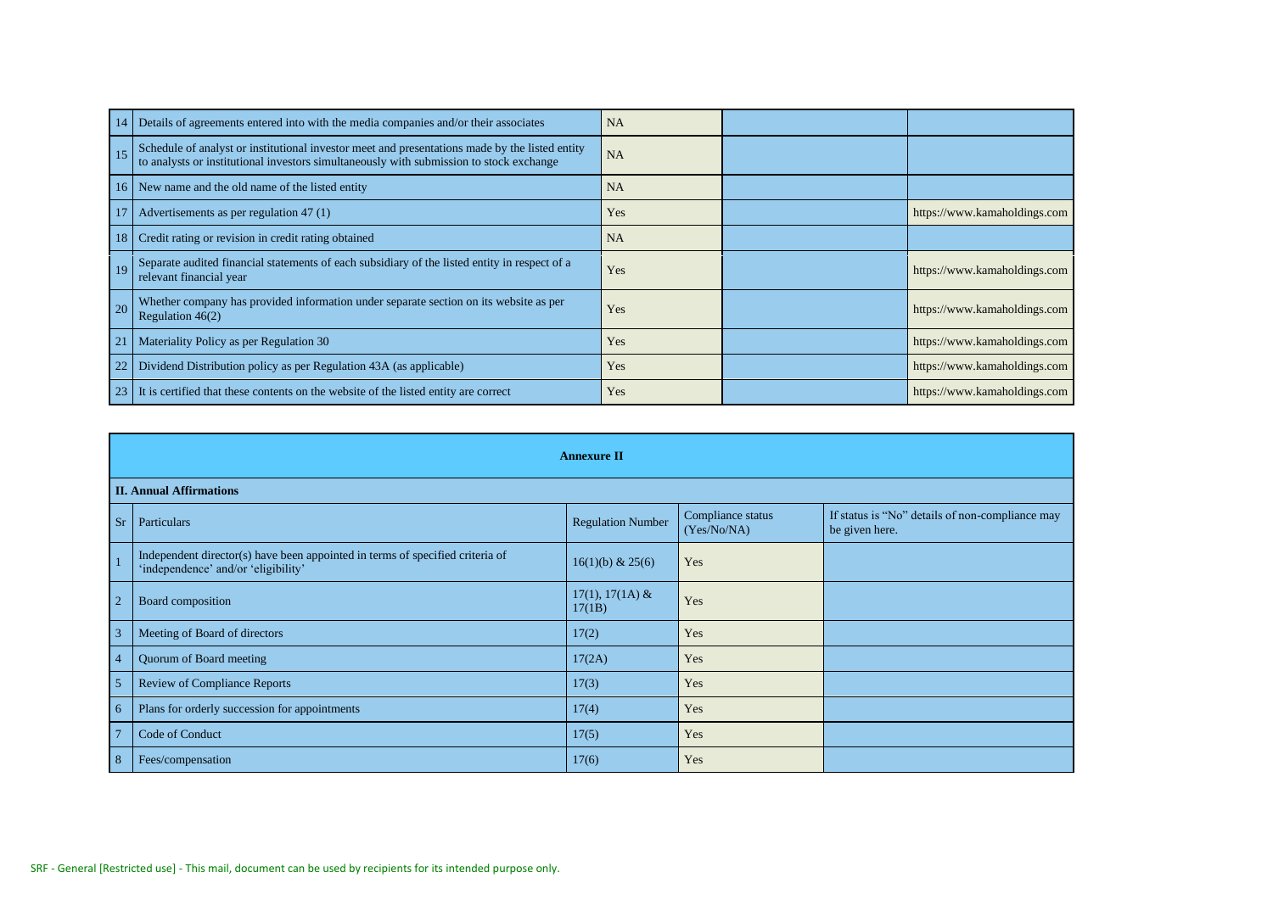| 14              | Details of agreements entered into with the media companies and/or their associates                                                                                                       | <b>NA</b> |                              |
|-----------------|-------------------------------------------------------------------------------------------------------------------------------------------------------------------------------------------|-----------|------------------------------|
|                 | Schedule of analyst or institutional investor meet and presentations made by the listed entity<br>to analysts or institutional investors simultaneously with submission to stock exchange | <b>NA</b> |                              |
|                 | 16 New name and the old name of the listed entity                                                                                                                                         | <b>NA</b> |                              |
| 17              | Advertisements as per regulation 47 (1)                                                                                                                                                   | Yes       | https://www.kamaholdings.com |
| 18 <sup>1</sup> | Credit rating or revision in credit rating obtained                                                                                                                                       | <b>NA</b> |                              |
|                 | Separate audited financial statements of each subsidiary of the listed entity in respect of a<br>relevant financial year                                                                  | Yes       | https://www.kamaholdings.com |
| 20              | Whether company has provided information under separate section on its website as per<br>Regulation $46(2)$                                                                               | Yes       | https://www.kamaholdings.com |
|                 | Materiality Policy as per Regulation 30                                                                                                                                                   | Yes       | https://www.kamaholdings.com |
|                 | Dividend Distribution policy as per Regulation 43A (as applicable)                                                                                                                        | Yes       | https://www.kamaholdings.com |
| 23              | It is certified that these contents on the website of the listed entity are correct                                                                                                       | Yes       | https://www.kamaholdings.com |

|                 | <b>Annexure II</b>                                                                                                   |                             |                                  |                                                                   |  |  |
|-----------------|----------------------------------------------------------------------------------------------------------------------|-----------------------------|----------------------------------|-------------------------------------------------------------------|--|--|
|                 | <b>II. Annual Affirmations</b>                                                                                       |                             |                                  |                                                                   |  |  |
|                 | Sr   Particulars                                                                                                     | <b>Regulation Number</b>    | Compliance status<br>(Yes/No/NA) | If status is "No" details of non-compliance may<br>be given here. |  |  |
|                 | Independent director(s) have been appointed in terms of specified criteria of<br>'independence' and/or 'eligibility' | 16(1)(b) & 25(6)            | Yes                              |                                                                   |  |  |
| $\overline{2}$  | Board composition                                                                                                    | $17(1), 17(1A)$ &<br>17(1B) | Yes                              |                                                                   |  |  |
| $\overline{3}$  | Meeting of Board of directors                                                                                        | 17(2)                       | Yes                              |                                                                   |  |  |
| $\overline{4}$  | Quorum of Board meeting                                                                                              | 17(2A)                      | Yes                              |                                                                   |  |  |
| 5               | <b>Review of Compliance Reports</b>                                                                                  | 17(3)                       | Yes                              |                                                                   |  |  |
| $6\overline{6}$ | Plans for orderly succession for appointments                                                                        | 17(4)                       | Yes                              |                                                                   |  |  |
| $\overline{7}$  | Code of Conduct                                                                                                      | 17(5)                       | Yes                              |                                                                   |  |  |
| 8               | Fees/compensation                                                                                                    | 17(6)                       | Yes                              |                                                                   |  |  |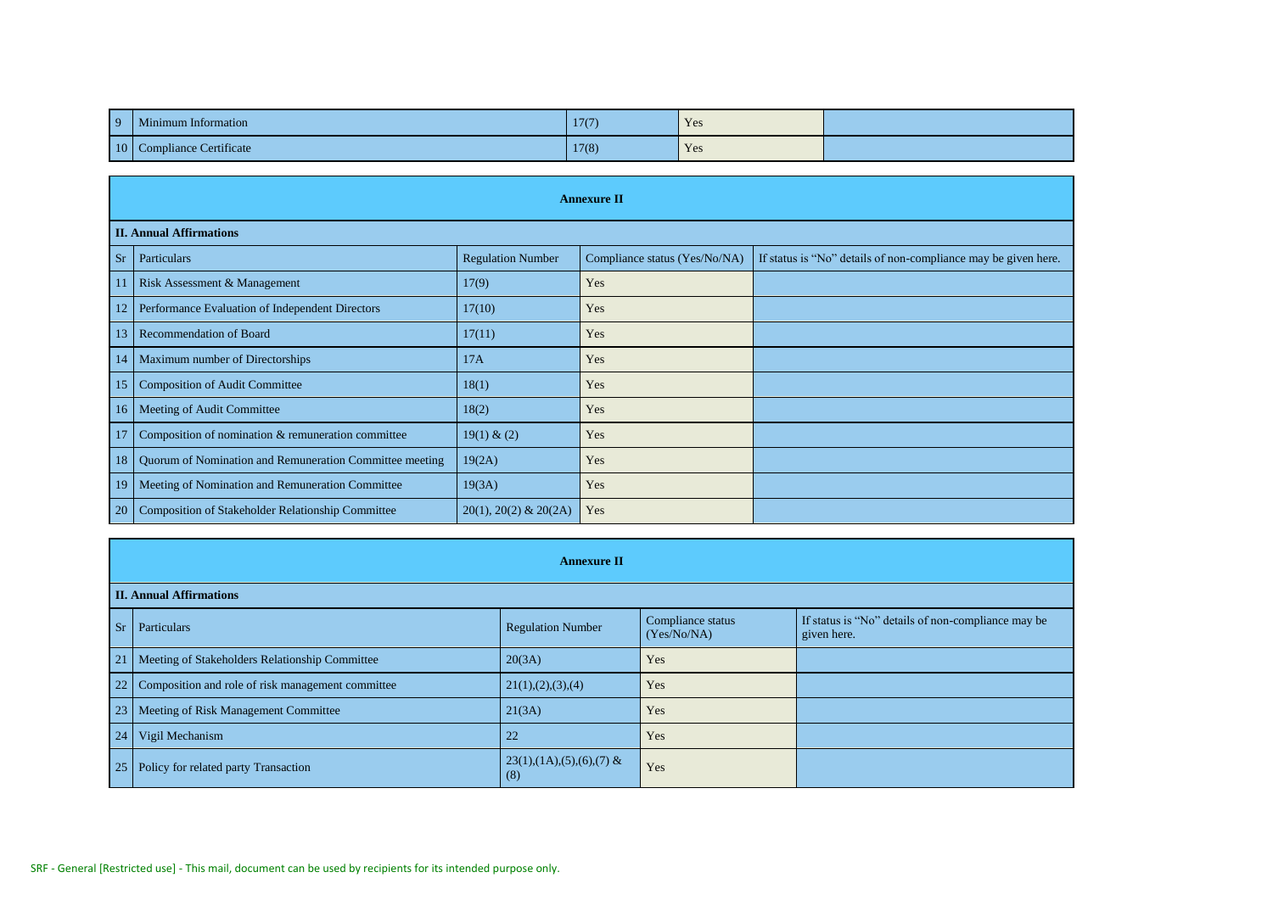| $\overline{q}$ | Minimum Information                      | 17(7) | Yes |  |
|----------------|------------------------------------------|-------|-----|--|
|                | $10$ Co<br><b>Compliance Certificate</b> | 17(8) | Yes |  |

|                 | <b>Annexure II</b>                                      |                             |                               |                                                                |  |  |  |  |
|-----------------|---------------------------------------------------------|-----------------------------|-------------------------------|----------------------------------------------------------------|--|--|--|--|
|                 | <b>II. Annual Affirmations</b>                          |                             |                               |                                                                |  |  |  |  |
| Sr              | Particulars                                             | <b>Regulation Number</b>    | Compliance status (Yes/No/NA) | If status is "No" details of non-compliance may be given here. |  |  |  |  |
| 11 <sup>1</sup> | Risk Assessment & Management                            | 17(9)                       | Yes                           |                                                                |  |  |  |  |
| 12              | Performance Evaluation of Independent Directors         | 17(10)                      | Yes                           |                                                                |  |  |  |  |
| 13              | Recommendation of Board                                 | 17(11)                      | Yes                           |                                                                |  |  |  |  |
| 14              | Maximum number of Directorships                         | 17A                         | Yes                           |                                                                |  |  |  |  |
| 15 <sup>1</sup> | <b>Composition of Audit Committee</b>                   | 18(1)                       | Yes                           |                                                                |  |  |  |  |
| 16 <sup>1</sup> | Meeting of Audit Committee                              | 18(2)                       | Yes                           |                                                                |  |  |  |  |
| <sup>17</sup>   | Composition of nomination & remuneration committee      | 19(1) & (2)                 | Yes                           |                                                                |  |  |  |  |
| 18 <sup>1</sup> | Quorum of Nomination and Remuneration Committee meeting | 19(2A)                      | Yes                           |                                                                |  |  |  |  |
| 19 <sup>°</sup> | Meeting of Nomination and Remuneration Committee        | 19(3A)                      | Yes                           |                                                                |  |  |  |  |
| 20              | Composition of Stakeholder Relationship Committee       | $20(1)$ , $20(2)$ & $20(2)$ | Yes                           |                                                                |  |  |  |  |

|                 | <b>Annexure II</b>                                   |                                                   |                                  |                                                                   |
|-----------------|------------------------------------------------------|---------------------------------------------------|----------------------------------|-------------------------------------------------------------------|
|                 | <b>II. Annual Affirmations</b>                       |                                                   |                                  |                                                                   |
|                 | Sr   Particulars                                     | <b>Regulation Number</b>                          | Compliance status<br>(Yes/No/NA) | If status is "No" details of non-compliance may be<br>given here. |
| 21              | Meeting of Stakeholders Relationship Committee       | 20(3A)                                            | Yes                              |                                                                   |
|                 | 22 Composition and role of risk management committee | 21(1), (2), (3), (4)                              | Yes                              |                                                                   |
| 23 <sup>1</sup> | Meeting of Risk Management Committee                 | 21(3A)                                            | Yes                              |                                                                   |
| 24              | Vigil Mechanism                                      | 22                                                | Yes                              |                                                                   |
|                 | 25   Policy for related party Transaction            | $23(1)$ , $(1A)$ , $(5)$ , $(6)$ , $(7)$ &<br>(8) | Yes                              |                                                                   |

 $\mathbf{r}$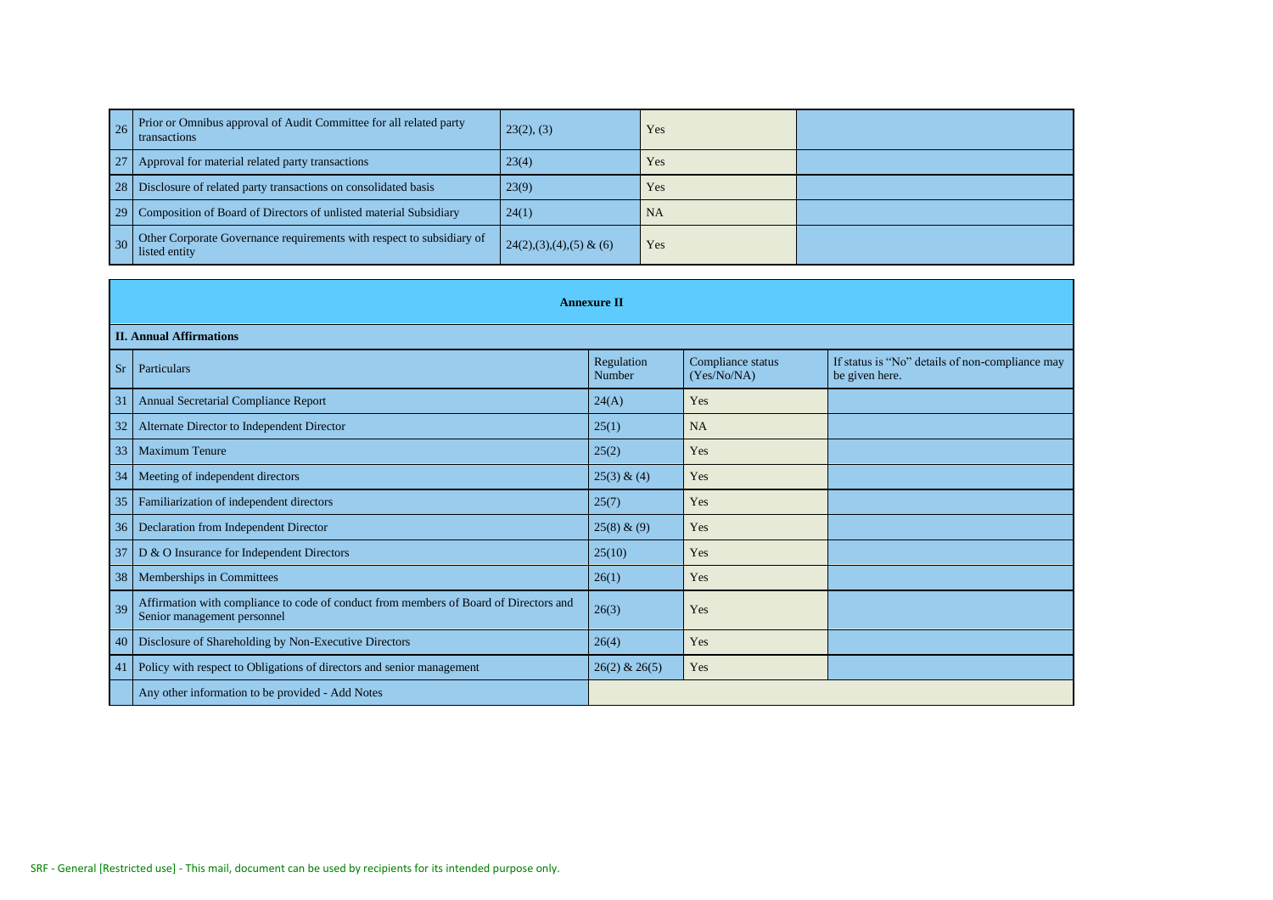| 26 Prior or Omnibus approval of Audit Committee for all related party<br><b>transactions</b> | 23(2), (3)                | Yes       |  |
|----------------------------------------------------------------------------------------------|---------------------------|-----------|--|
| 27   Approval for material related party transactions                                        | 23(4)                     | Yes       |  |
| 28   Disclosure of related party transactions on consolidated basis                          | 23(9)                     | Yes       |  |
| 29   Composition of Board of Directors of unlisted material Subsidiary                       | 24(1)                     | <b>NA</b> |  |
| 30 Other Corporate Governance requirements with respect to subsidiary of<br>listed entity    | $24(2),(3),(4),(5)$ & (6) | Yes       |  |

|      | <b>Annexure II</b>                                                                                                   |                      |                                  |                                                                   |
|------|----------------------------------------------------------------------------------------------------------------------|----------------------|----------------------------------|-------------------------------------------------------------------|
|      | <b>II. Annual Affirmations</b>                                                                                       |                      |                                  |                                                                   |
|      | Sr Particulars                                                                                                       | Regulation<br>Number | Compliance status<br>(Yes/No/NA) | If status is "No" details of non-compliance may<br>be given here. |
| 31   | <b>Annual Secretarial Compliance Report</b>                                                                          | 24(A)                | Yes                              |                                                                   |
| 32   | Alternate Director to Independent Director                                                                           | 25(1)                | <b>NA</b>                        |                                                                   |
| 33   | <b>Maximum Tenure</b>                                                                                                | 25(2)                | Yes                              |                                                                   |
| 34   | Meeting of independent directors                                                                                     | $25(3)$ & (4)        | Yes                              |                                                                   |
| 35   | Familiarization of independent directors                                                                             | 25(7)                | Yes                              |                                                                   |
| 36   | Declaration from Independent Director                                                                                | $25(8) \& (9)$       | Yes                              |                                                                   |
| 37   | D & O Insurance for Independent Directors                                                                            | 25(10)               | Yes                              |                                                                   |
| 38   | Memberships in Committees                                                                                            | 26(1)                | Yes                              |                                                                   |
| 39   | Affirmation with compliance to code of conduct from members of Board of Directors and<br>Senior management personnel | 26(3)                | Yes                              |                                                                   |
| 40 l | Disclosure of Shareholding by Non-Executive Directors                                                                | 26(4)                | Yes                              |                                                                   |
| 41   | Policy with respect to Obligations of directors and senior management                                                | $26(2)$ & $26(5)$    | Yes                              |                                                                   |
|      | Any other information to be provided - Add Notes                                                                     |                      |                                  |                                                                   |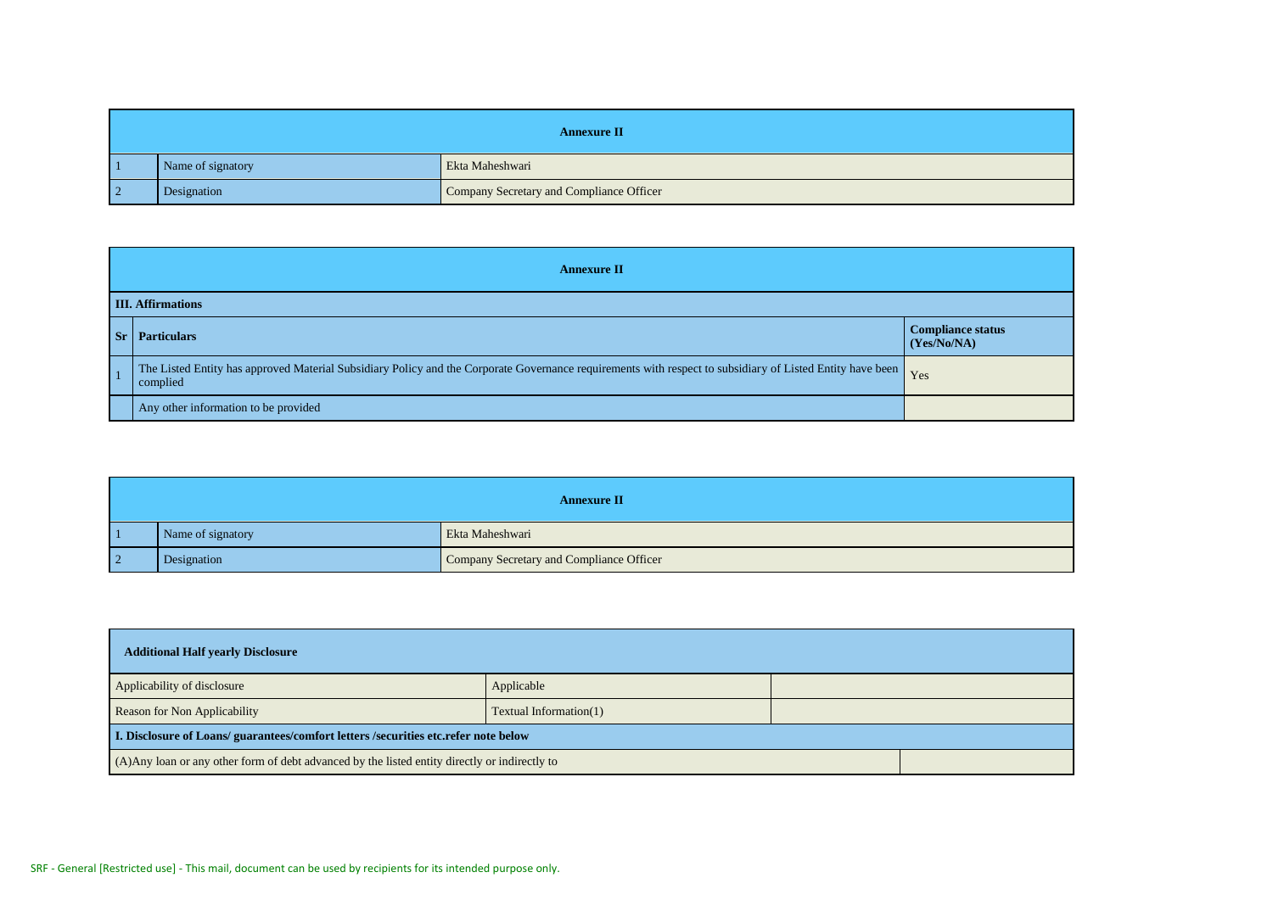|           | <b>Annexure II</b> |                                          |  |
|-----------|--------------------|------------------------------------------|--|
|           | Name of signatory  | Ekta Maheshwari                          |  |
| $\vert$ 2 | Designation        | Company Secretary and Compliance Officer |  |

|         | <b>Annexure II</b>                                                                                                                                                        |                                                  |  |
|---------|---------------------------------------------------------------------------------------------------------------------------------------------------------------------------|--------------------------------------------------|--|
|         | <b>III. Affirmations</b>                                                                                                                                                  |                                                  |  |
| $S_{r}$ | <b>Particulars</b>                                                                                                                                                        | <b>Compliance status</b><br>$\sqrt{(Yes/No/NA)}$ |  |
|         | The Listed Entity has approved Material Subsidiary Policy and the Corporate Governance requirements with respect to subsidiary of Listed Entity have been Yes<br>complied |                                                  |  |
|         | Any other information to be provided                                                                                                                                      |                                                  |  |

| <b>Annexure II</b> |                                          |
|--------------------|------------------------------------------|
| Name of signatory  | Ekta Maheshwari                          |
| Designation        | Company Secretary and Compliance Officer |

| <b>Additional Half yearly Disclosure</b>                                                       |                           |  |  |
|------------------------------------------------------------------------------------------------|---------------------------|--|--|
| Applicability of disclosure                                                                    | Applicable                |  |  |
| <b>Reason for Non Applicability</b>                                                            | Textual Information $(1)$ |  |  |
| I. Disclosure of Loans/ guarantees/comfort letters / securities etc. refer note below          |                           |  |  |
| (A) Any loan or any other form of debt advanced by the listed entity directly or indirectly to |                           |  |  |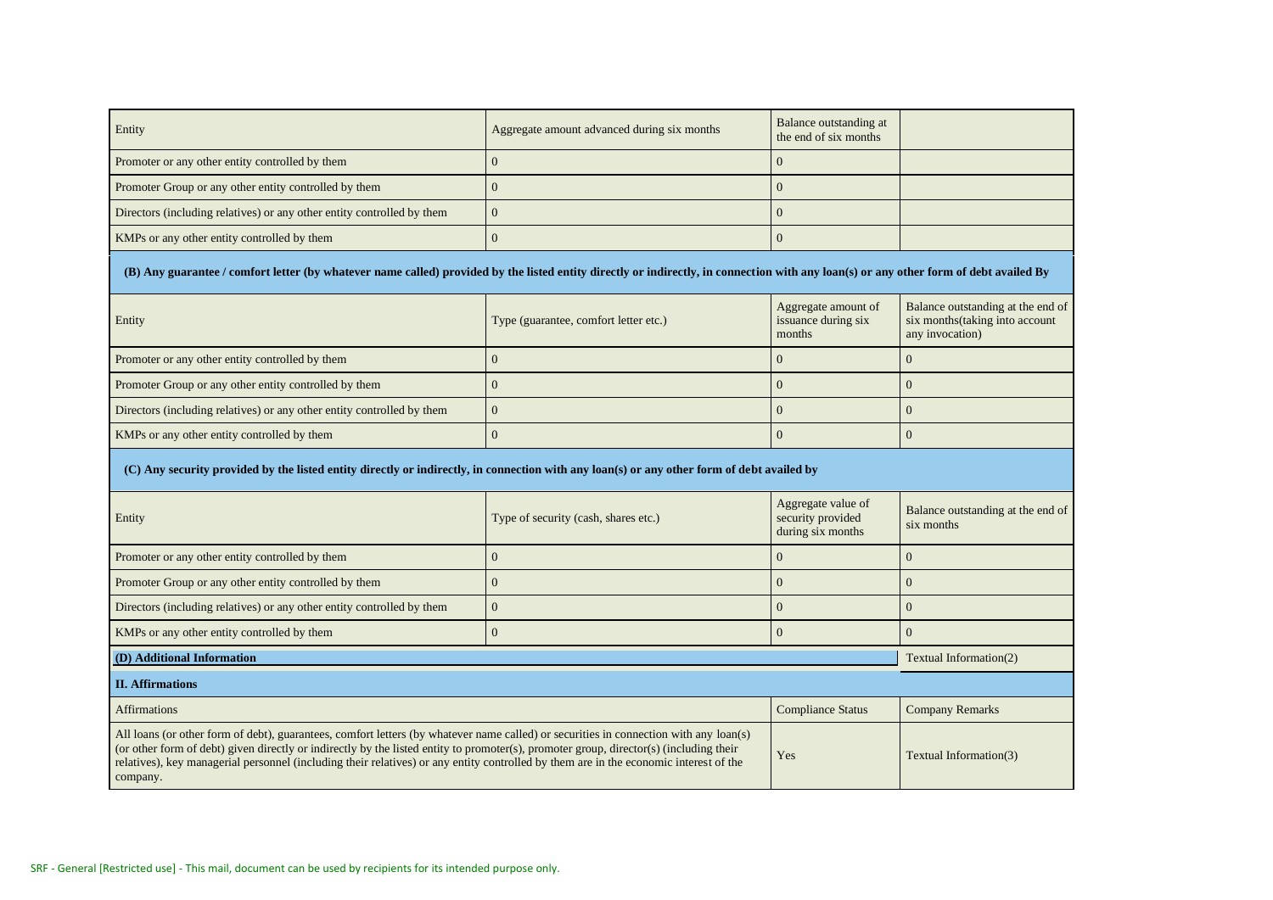| Entity                                                                 | Aggregate amount advanced during six months | Balance outstanding at<br>the end of six months |  |
|------------------------------------------------------------------------|---------------------------------------------|-------------------------------------------------|--|
| Promoter or any other entity controlled by them                        |                                             |                                                 |  |
| Promoter Group or any other entity controlled by them                  |                                             |                                                 |  |
| Directors (including relatives) or any other entity controlled by them |                                             |                                                 |  |
| KMPs or any other entity controlled by them                            |                                             |                                                 |  |

**(B) Any guarantee / comfort letter (by whatever name called) provided by the listed entity directly or indirectly, in connection with any loan(s) or any other form of debt availed By**

| Entity                                                                 | Type (guarantee, comfort letter etc.) | Aggregate amount of<br>issuance during six<br>months | Balance outstanding at the end of<br>six months (taking into account<br>any invocation) |
|------------------------------------------------------------------------|---------------------------------------|------------------------------------------------------|-----------------------------------------------------------------------------------------|
| Promoter or any other entity controlled by them                        |                                       |                                                      |                                                                                         |
| Promoter Group or any other entity controlled by them                  |                                       |                                                      |                                                                                         |
| Directors (including relatives) or any other entity controlled by them |                                       |                                                      |                                                                                         |
| KMPs or any other entity controlled by them                            |                                       |                                                      |                                                                                         |

## **(C) Any security provided by the listed entity directly or indirectly, in connection with any loan(s) or any other form of debt availed by**

| Entity                                                                                                                                                                                                                                                                                                                                                                                                                                                                | Type of security (cash, shares etc.) | Aggregate value of<br>security provided<br>during six months | Balance outstanding at the end of<br>six months |
|-----------------------------------------------------------------------------------------------------------------------------------------------------------------------------------------------------------------------------------------------------------------------------------------------------------------------------------------------------------------------------------------------------------------------------------------------------------------------|--------------------------------------|--------------------------------------------------------------|-------------------------------------------------|
| Promoter or any other entity controlled by them                                                                                                                                                                                                                                                                                                                                                                                                                       |                                      |                                                              |                                                 |
| Promoter Group or any other entity controlled by them                                                                                                                                                                                                                                                                                                                                                                                                                 |                                      |                                                              |                                                 |
| Directors (including relatives) or any other entity controlled by them                                                                                                                                                                                                                                                                                                                                                                                                |                                      |                                                              |                                                 |
| KMPs or any other entity controlled by them                                                                                                                                                                                                                                                                                                                                                                                                                           |                                      |                                                              |                                                 |
| (D) Additional Information                                                                                                                                                                                                                                                                                                                                                                                                                                            | Textual Information(2)               |                                                              |                                                 |
| <b>II.</b> Affirmations                                                                                                                                                                                                                                                                                                                                                                                                                                               |                                      |                                                              |                                                 |
| <b>Affirmations</b><br><b>Compliance Status</b>                                                                                                                                                                                                                                                                                                                                                                                                                       |                                      |                                                              | <b>Company Remarks</b>                          |
| All loans (or other form of debt), guarantees, comfort letters (by whatever name called) or securities in connection with any loan(s)<br>(or other form of debt) given directly or indirectly by the listed entity to promoter(s), promoter group, director(s) (including their<br>Yes<br>Textual Information(3)<br>relatives), key managerial personnel (including their relatives) or any entity controlled by them are in the economic interest of the<br>company. |                                      |                                                              |                                                 |